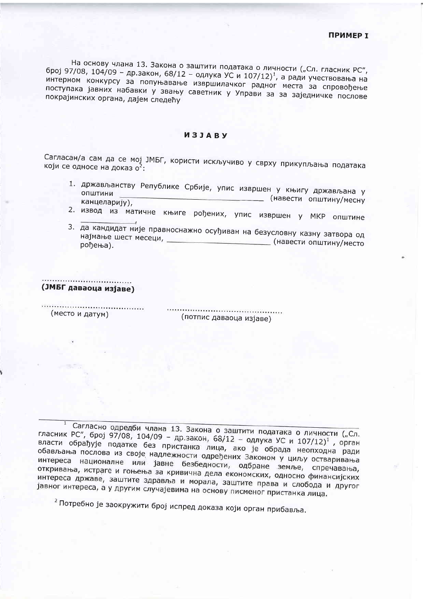На основу члана 13. Закона о заштити података о личности ("Сл. гласник РС", број 97/08, 104/09 - др.закон, 68/12 - одлука УС и 107/12)<sup>1</sup>, а ради учествовања на интерном конкурсу за попуњавање извршилачког радног места за спровођење поступака јавних набавки у звању саветник у Управи за за заједничке послове покрајинских органа, дајем следећу

## *M***3JABY**

Сагласан/а сам да се мој ЈМБГ, користи искључиво у сврху прикупљања података који се односе на доказ о<sup>2</sup>:

- 1. држављанству Републике Србије, упис извршен у књигу држављана у ОПШТИНИ \_\_ (навести општину/месну канцеларију),
- 2. извод из матичне књиге рођених, упис извршен у МКР општине
- 3. да кандидат није правноснажно осуђиван на безусловну казну затвора од најмање шест месеци, и постављени сложи сложи (навести општину/место рођења).

## (ЈМБГ даваоца изјаве)

(место и датум)

(потпис даваоца изјаве)

1 Сагласно одредби члана 13. Закона о заштити података о личности ("Сл. гласник РС", број 97/08, 104/09 - др.закон, 68/12 - одлука УС и 107/12)<sup>1</sup>, орган власти обрађује податке без пристанка лица, ако је обрада неопходна ради обављања послова из своје надлежности одређених Законом у циљу остваривања интереса националне или јавне безбедности, одбране земље, спречавања, откривања, истраге и гоњења за кривична дела економских, односно финансијских интереса државе, заштите здравља и морала, заштите права и слобода и другог јавног интереса, а у другим случајевима на основу писменог пристанка лица.

<sup>2</sup> Потребно је заокружити број испред доказа који орган прибавља.